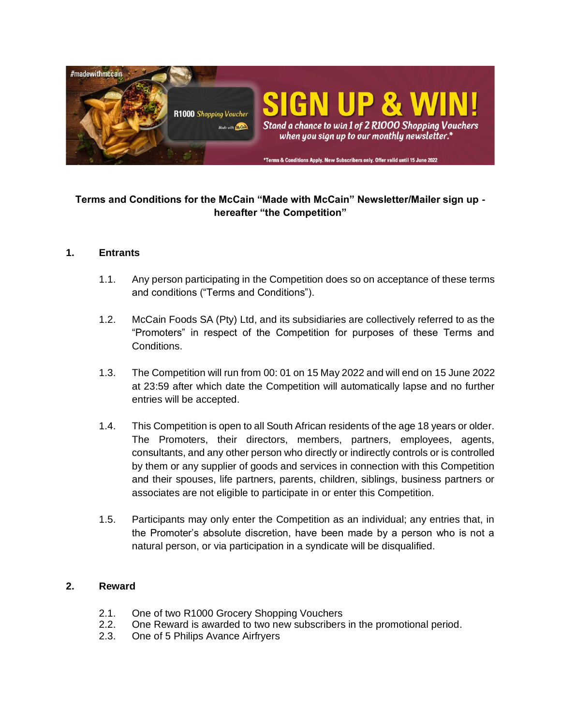

# **Terms and Conditions for the McCain "Made with McCain" Newsletter/Mailer sign up hereafter "the Competition"**

### **1. Entrants**

- 1.1. Any person participating in the Competition does so on acceptance of these terms and conditions ("Terms and Conditions").
- 1.2. McCain Foods SA (Pty) Ltd, and its subsidiaries are collectively referred to as the "Promoters" in respect of the Competition for purposes of these Terms and Conditions.
- 1.3. The Competition will run from 00: 01 on 15 May 2022 and will end on 15 June 2022 at 23:59 after which date the Competition will automatically lapse and no further entries will be accepted.
- 1.4. This Competition is open to all South African residents of the age 18 years or older. The Promoters, their directors, members, partners, employees, agents, consultants, and any other person who directly or indirectly controls or is controlled by them or any supplier of goods and services in connection with this Competition and their spouses, life partners, parents, children, siblings, business partners or associates are not eligible to participate in or enter this Competition.
- 1.5. Participants may only enter the Competition as an individual; any entries that, in the Promoter's absolute discretion, have been made by a person who is not a natural person, or via participation in a syndicate will be disqualified.

### **2. Reward**

- 2.1. One of two R1000 Grocery Shopping Vouchers
- 2.2. One Reward is awarded to two new subscribers in the promotional period.
- 2.3. One of 5 Philips Avance Airfryers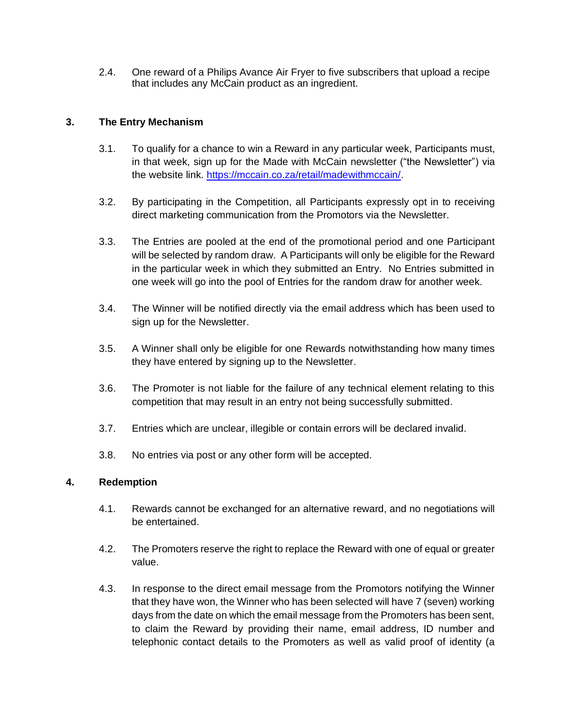2.4. One reward of a Philips Avance Air Fryer to five subscribers that upload a recipe that includes any McCain product as an ingredient.

## **3. The Entry Mechanism**

- 3.1. To qualify for a chance to win a Reward in any particular week, Participants must, in that week, sign up for the Made with McCain newsletter ("the Newsletter") via the website link. [https://mccain.co.za/retail/madewithmccain/.](https://mccain.co.za/retail/madewithmccain/)
- 3.2. By participating in the Competition, all Participants expressly opt in to receiving direct marketing communication from the Promotors via the Newsletter.
- 3.3. The Entries are pooled at the end of the promotional period and one Participant will be selected by random draw. A Participants will only be eligible for the Reward in the particular week in which they submitted an Entry. No Entries submitted in one week will go into the pool of Entries for the random draw for another week.
- 3.4. The Winner will be notified directly via the email address which has been used to sign up for the Newsletter.
- 3.5. A Winner shall only be eligible for one Rewards notwithstanding how many times they have entered by signing up to the Newsletter.
- 3.6. The Promoter is not liable for the failure of any technical element relating to this competition that may result in an entry not being successfully submitted.
- 3.7. Entries which are unclear, illegible or contain errors will be declared invalid.
- 3.8. No entries via post or any other form will be accepted.

### **4. Redemption**

- 4.1. Rewards cannot be exchanged for an alternative reward, and no negotiations will be entertained.
- 4.2. The Promoters reserve the right to replace the Reward with one of equal or greater value.
- 4.3. In response to the direct email message from the Promotors notifying the Winner that they have won, the Winner who has been selected will have 7 (seven) working days from the date on which the email message from the Promoters has been sent, to claim the Reward by providing their name, email address, ID number and telephonic contact details to the Promoters as well as valid proof of identity (a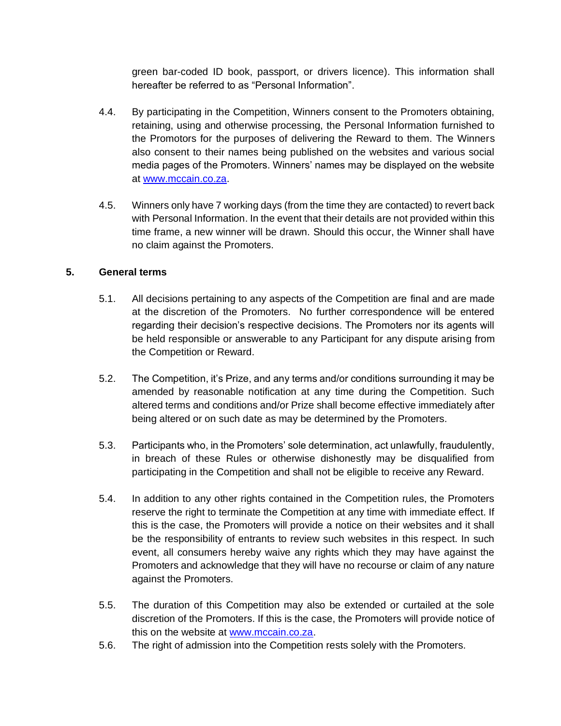green bar-coded ID book, passport, or drivers licence). This information shall hereafter be referred to as "Personal Information".

- 4.4. By participating in the Competition, Winners consent to the Promoters obtaining, retaining, using and otherwise processing, the Personal Information furnished to the Promotors for the purposes of delivering the Reward to them. The Winners also consent to their names being published on the websites and various social media pages of the Promoters. Winners' names may be displayed on the website at [www.mccain.co.za.](http://www.mccain.co.za/)
- 4.5. Winners only have 7 working days (from the time they are contacted) to revert back with Personal Information. In the event that their details are not provided within this time frame, a new winner will be drawn. Should this occur, the Winner shall have no claim against the Promoters.

### **5. General terms**

- 5.1. All decisions pertaining to any aspects of the Competition are final and are made at the discretion of the Promoters. No further correspondence will be entered regarding their decision's respective decisions. The Promoters nor its agents will be held responsible or answerable to any Participant for any dispute arising from the Competition or Reward.
- 5.2. The Competition, it's Prize, and any terms and/or conditions surrounding it may be amended by reasonable notification at any time during the Competition. Such altered terms and conditions and/or Prize shall become effective immediately after being altered or on such date as may be determined by the Promoters.
- 5.3. Participants who, in the Promoters' sole determination, act unlawfully, fraudulently, in breach of these Rules or otherwise dishonestly may be disqualified from participating in the Competition and shall not be eligible to receive any Reward.
- 5.4. In addition to any other rights contained in the Competition rules, the Promoters reserve the right to terminate the Competition at any time with immediate effect. If this is the case, the Promoters will provide a notice on their websites and it shall be the responsibility of entrants to review such websites in this respect. In such event, all consumers hereby waive any rights which they may have against the Promoters and acknowledge that they will have no recourse or claim of any nature against the Promoters.
- 5.5. The duration of this Competition may also be extended or curtailed at the sole discretion of the Promoters. If this is the case, the Promoters will provide notice of this on the website at [www.mccain.co.za.](http://www.mccain.co.za/)
- 5.6. The right of admission into the Competition rests solely with the Promoters.